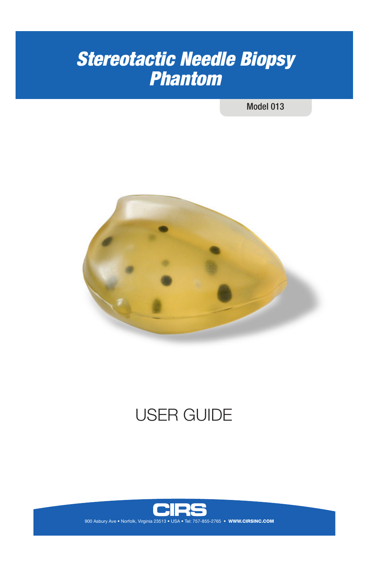# *Stereotactic Needle Biopsy Phantom*

Model 013



# USER GUIDE

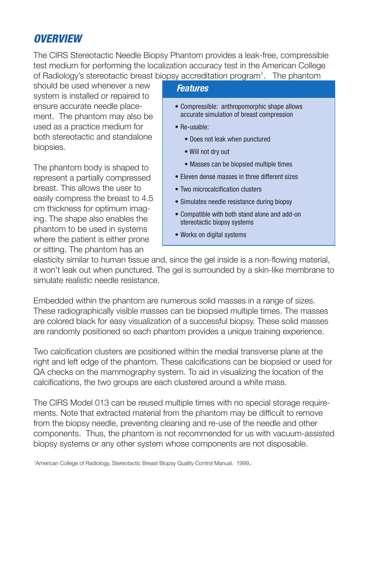## *OVERVIEW*

The CIRS Stereotactic Needle Biopsy Phantom provides a leak-free, compressible test medium for performing the localization accuracy test in the American College of Radiology's stereotactic breast biopsy accreditation program<sup>1</sup>. The phantom

should be used whenever a new system is installed or repaired to ensure accurate needle placement. The phantom may also be used as a practice medium for both stereotactic and standalone biopsies.

The phantom body is shaped to represent a partially compressed breast. This allows the user to easily compress the breast to 4.5 cm thickness for optimum imaging. The shape also enables the phantom to be used in systems where the patient is either prone or sitting. The phantom has an

#### *Features*

- Compressible: anthropomorphic shape allows accurate simulation of breast compression
- Re-usable:
	- Does not leak when punctured
	- Will not dry out
	- Masses can be biopsied multiple times
- Eleven dense masses in three different sizes
- Two microcalcification clusters
- Simulates needle resistance during biopsy
- Compatible with both stand alone and add-on stereotactic biopsy systems
- Works on digital systems

elasticity similar to human tissue and, since the gel inside is a non-flowing material, it won't leak out when punctured. The gel is surrounded by a skin-like membrane to simulate realistic needle resistance.

Embedded within the phantom are numerous solid masses in a range of sizes. These radiographically visible masses can be biopsied multiple times. The masses are colored black for easy visualization of a successful biopsy. These solid masses are randomly positioned so each phantom provides a unique training experience.

Two calcification clusters are positioned within the medial transverse plane at the right and left edge of the phantom. These calcifications can be biopsied or used for QA checks on the mammography system. To aid in visualizing the location of the calcifications, the two groups are each clustered around a white mass.

The CIRS Model 013 can be reused multiple times with no special storage requirements. Note that extracted material from the phantom may be difficult to remove from the biopsy needle, preventing cleaning and re-use of the needle and other components. Thus, the phantom is not recommended for us with vacuum-assisted biopsy systems or any other system whose components are not disposable.

1 American College of Radiology, Stereotactic Breast Biopsy Quality Control Manual. 1999.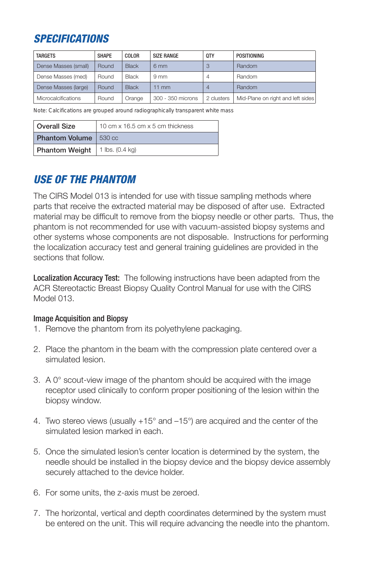## *SPECIFICATIONS*

| <b>TARGETS</b>             | <b>SHAPE</b> | COLOR        | <b>SIZE RANGE</b> | 0TY        | POSITIONING                       |
|----------------------------|--------------|--------------|-------------------|------------|-----------------------------------|
| Dense Masses (small)       | Round        | <b>Black</b> | 6 <sub>mm</sub>   |            | Random                            |
| Dense Masses (med)         | Round        | <b>Black</b> | 9 <sub>mm</sub>   |            | Random                            |
| Dense Masses (large)       | Round        | <b>Black</b> | $11$ mm           |            | Random                            |
| <b>Microcalcifications</b> | Round        | Orange       | 300 - 350 microns | 2 clusters | Mid-Plane on right and left sides |

Note: Calcifications are grouped around radiographically transparent white mass

| Overall Size          | 10 cm x 16.5 cm x 5 cm thickness |  |  |
|-----------------------|----------------------------------|--|--|
| <b>Phantom Volume</b> | 530 cc                           |  |  |
| Phantom Weight        | 1 lbs. $(0.4 \text{ kg})$        |  |  |

## *USE OF THE PHANTOM*

The CIRS Model 013 is intended for use with tissue sampling methods where parts that receive the extracted material may be disposed of after use. Extracted material may be difficult to remove from the biopsy needle or other parts. Thus, the phantom is not recommended for use with vacuum-assisted biopsy systems and other systems whose components are not disposable. Instructions for performing the localization accuracy test and general training guidelines are provided in the sections that follow.

Localization Accuracy Test: The following instructions have been adapted from the ACR Stereotactic Breast Biopsy Quality Control Manual for use with the CIRS Model 013.

#### Image Acquisition and Biopsy

- 1. Remove the phantom from its polyethylene packaging.
- 2. Place the phantom in the beam with the compression plate centered over a simulated lesion.
- 3. A 0° scout-view image of the phantom should be acquired with the image receptor used clinically to conform proper positioning of the lesion within the biopsy window.
- 4. Two stereo views (usually +15° and –15°) are acquired and the center of the simulated lesion marked in each.
- 5. Once the simulated lesion's center location is determined by the system, the needle should be installed in the biopsy device and the biopsy device assembly securely attached to the device holder.
- 6. For some units, the z-axis must be zeroed.
- 7. The horizontal, vertical and depth coordinates determined by the system must be entered on the unit. This will require advancing the needle into the phantom.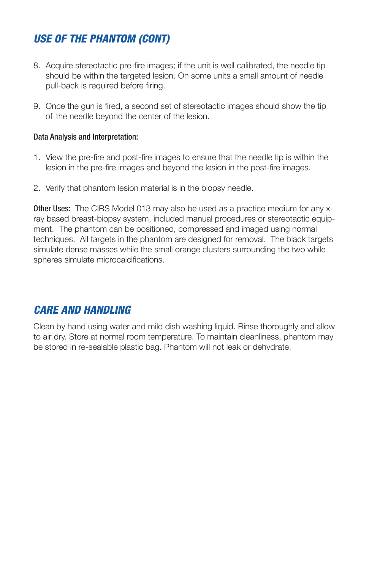## *USE OF THE PHANTOM (CONT)*

- 8. Acquire stereotactic pre-fire images; if the unit is well calibrated, the needle tip should be within the targeted lesion. On some units a small amount of needle pull-back is required before firing.
- 9. Once the gun is fired, a second set of stereotactic images should show the tip of the needle beyond the center of the lesion.

#### Data Analysis and Interpretation:

- 1. View the pre-fire and post-fire images to ensure that the needle tip is within the lesion in the pre-fire images and beyond the lesion in the post-fire images.
- 2. Verify that phantom lesion material is in the biopsy needle.

**Other Uses:** The CIRS Model 013 may also be used as a practice medium for any xray based breast-biopsy system, included manual procedures or stereotactic equipment. The phantom can be positioned, compressed and imaged using normal techniques. All targets in the phantom are designed for removal. The black targets simulate dense masses while the small orange clusters surrounding the two while spheres simulate microcalcifications.

### *CARE AND HANDLING*

Clean by hand using water and mild dish washing liquid. Rinse thoroughly and allow to air dry. Store at normal room temperature. To maintain cleanliness, phantom may be stored in re-sealable plastic bag. Phantom will not leak or dehydrate.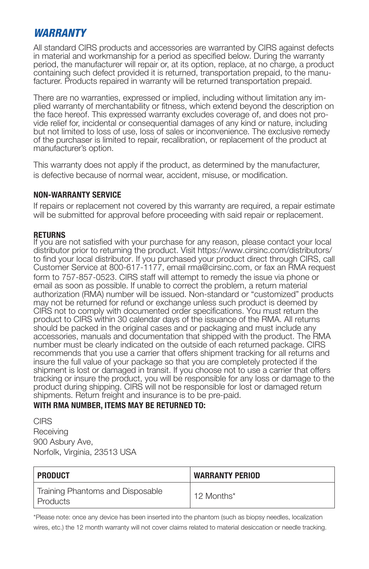### *WARRANTY*

All standard CIRS products and accessories are warranted by CIRS against defects in material and workmanship for a period as specified below. During the warranty period, the manufacturer will repair or, at its option, replace, at no charge, a product containing such defect provided it is returned, transportation prepaid, to the manufacturer. Products repaired in warranty will be returned transportation prepaid.

There are no warranties, expressed or implied, including without limitation any implied warranty of merchantability or fitness, which extend beyond the description on the face hereof. This expressed warranty excludes coverage of, and does not provide relief for, incidental or consequential damages of any kind or nature, including but not limited to loss of use, loss of sales or inconvenience. The exclusive remedy of the purchaser is limited to repair, recalibration, or replacement of the product at manufacturer's option.

This warranty does not apply if the product, as determined by the manufacturer, is defective because of normal wear, accident, misuse, or modification.

#### **NON-WARRANTY SERVICE**

If repairs or replacement not covered by this warranty are required, a repair estimate will be submitted for approval before proceeding with said repair or replacement.

#### **RETURNS**

If you are not satisfied with your purchase for any reason, please contact your local distributor prior to returning the product. Visit https://www.cirsinc.com/distributors/ to find your local distributor. If you purchased your product direct through CIRS, call Customer Service at 800-617-1177, email rma@cirsinc.com, or fax an RMA request form to 757-857-0523. CIRS staff will attempt to remedy the issue via phone or email as soon as possible. If unable to correct the problem, a return material authorization (RMA) number will be issued. Non-standard or "customized" products may not be returned for refund or exchange unless such product is deemed by CIRS not to comply with documented order specifications. You must return the product to CIRS within 30 calendar days of the issuance of the RMA. All returns should be packed in the original cases and or packaging and must include any accessories, manuals and documentation that shipped with the product. The RMA number must be clearly indicated on the outside of each returned package. CIRS recommends that you use a carrier that offers shipment tracking for all returns and insure the full value of your package so that you are completely protected if the shipment is lost or damaged in transit. If you choose not to use a carrier that offers tracking or insure the product, you will be responsible for any loss or damage to the product during shipping. CIRS will not be responsible for lost or damaged return shipments. Return freight and insurance is to be pre-paid.

#### **WITH RMA NUMBER, ITEMS MAY BE RETURNED TO:**

**CIRS Receiving** 900 Asbury Ave, Norfolk, Virginia, 23513 USA

| ' PRODUCT                                      | <b>WARRANTY PERIOD</b> |
|------------------------------------------------|------------------------|
| Training Phantoms and Disposable<br>l Products | 12 Months*             |

\*Please note: once any device has been inserted into the phantom (such as biopsy needles, localization wires, etc.) the 12 month warranty will not cover claims related to material desiccation or needle tracking.